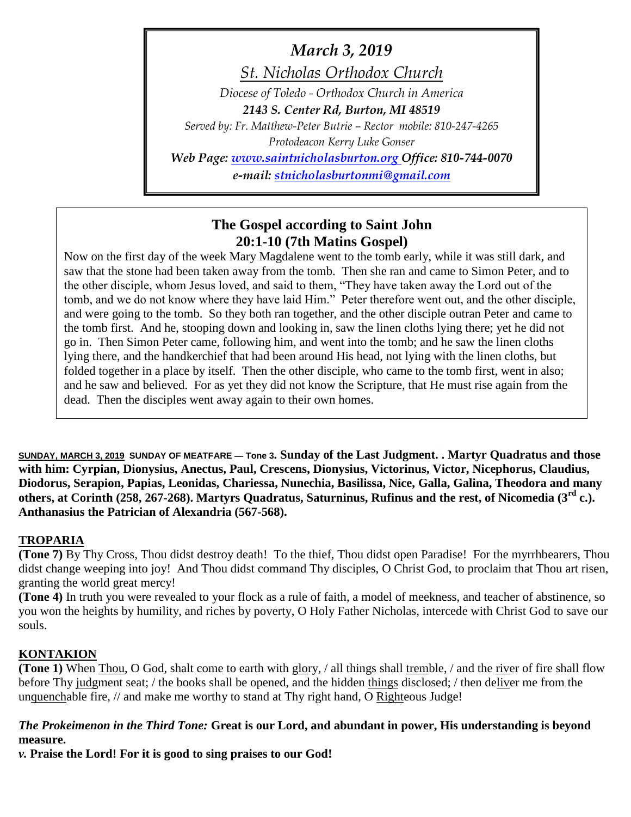# *March 3, 2019*

*St. Nicholas Orthodox Church*

*Diocese of Toledo - Orthodox Church in America*

*2143 S. Center Rd, Burton, MI 48519*

*Served by: Fr. Matthew-Peter Butrie – Rector mobile: 810-247-4265 Protodeacon Kerry Luke Gonser*

*Web Page: [www.saintnicholasburton.org](http://www.saintnicholasburton.org/) Office: 810-744-0070 e-mail: [stnicholasburtonmi@gmail.com](mailto:stnicholasburtonmi@gmail.com)*

# **The Gospel according to Saint John 20:1-10 (7th Matins Gospel)**

Now on the first day of the week Mary Magdalene went to the tomb early, while it was still dark, and saw that the stone had been taken away from the tomb. Then she ran and came to Simon Peter, and to the other disciple, whom Jesus loved, and said to them, "They have taken away the Lord out of the tomb, and we do not know where they have laid Him." Peter therefore went out, and the other disciple, and were going to the tomb. So they both ran together, and the other disciple outran Peter and came to the tomb first. And he, stooping down and looking in, saw the linen cloths lying there; yet he did not go in. Then Simon Peter came, following him, and went into the tomb; and he saw the linen cloths lying there, and the handkerchief that had been around His head, not lying with the linen cloths, but folded together in a place by itself. Then the other disciple, who came to the tomb first, went in also; and he saw and believed. For as yet they did not know the Scripture, that He must rise again from the dead. Then the disciples went away again to their own homes.

**SUNDAY, MARCH 3, 2019 SUNDAY OF MEATFARE — Tone 3. Sunday of the Last Judgment. . Martyr Quadratus and those with him: Cyrpian, Dionysius, Anectus, Paul, Crescens, Dionysius, Victorinus, Victor, Nicephorus, Claudius, Diodorus, Serapion, Papias, Leonidas, Chariessa, Nunechia, Basilissa, Nice, Galla, Galina, Theodora and many others, at Corinth (258, 267-268). Martyrs Quadratus, Saturninus, Rufinus and the rest, of Nicomedia (3rd c.). Anthanasius the Patrician of Alexandria (567-568).**

# **TROPARIA**

**(Tone 7)** By Thy Cross, Thou didst destroy death! To the thief, Thou didst open Paradise! For the myrrhbearers, Thou didst change weeping into joy! And Thou didst command Thy disciples, O Christ God, to proclaim that Thou art risen, granting the world great mercy!

**(Tone 4)** In truth you were revealed to your flock as a rule of faith, a model of meekness, and teacher of abstinence, so you won the heights by humility, and riches by poverty, O Holy Father Nicholas, intercede with Christ God to save our souls.

# **KONTAKION**

**(Tone 1)** When Thou, O God, shalt come to earth with glory, / all things shall tremble, / and the river of fire shall flow before Thy judgment seat; / the books shall be opened, and the hidden things disclosed; / then deliver me from the unquenchable fire, // and make me worthy to stand at Thy right hand, O Righteous Judge!

# *The Prokeimenon in the Third Tone:* **Great is our Lord, and abundant in power, His understanding is beyond measure.**

*v.* **Praise the Lord! For it is good to sing praises to our God!**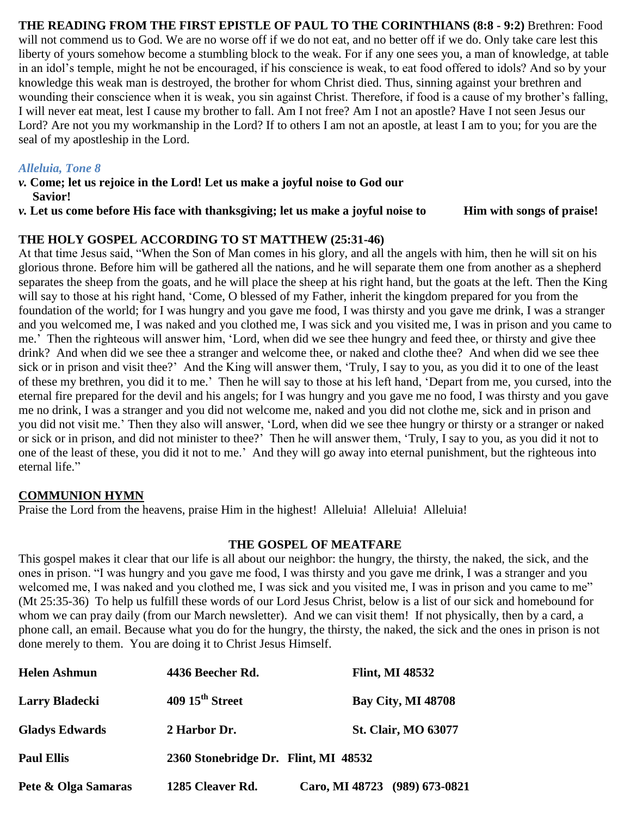**THE READING FROM THE FIRST EPISTLE OF PAUL TO THE CORINTHIANS (8:8 - 9:2)** Brethren: Food will not commend us to God. We are no worse off if we do not eat, and no better off if we do. Only take care lest this liberty of yours somehow become a stumbling block to the weak. For if any one sees you, a man of knowledge, at table in an idol's temple, might he not be encouraged, if his conscience is weak, to eat food offered to idols? And so by your knowledge this weak man is destroyed, the brother for whom Christ died. Thus, sinning against your brethren and wounding their conscience when it is weak, you sin against Christ. Therefore, if food is a cause of my brother's falling, I will never eat meat, lest I cause my brother to fall. Am I not free? Am I not an apostle? Have I not seen Jesus our Lord? Are not you my workmanship in the Lord? If to others I am not an apostle, at least I am to you; for you are the seal of my apostleship in the Lord.

# *Alleluia, Tone 8*

- *v.* **Come; let us rejoice in the Lord! Let us make a joyful noise to God our Savior!**
- *v.* **Let us come before His face with thanksgiving; let us make a joyful noise to Him with songs of praise!**

# **THE HOLY GOSPEL ACCORDING TO ST MATTHEW (25:31-46)**

At that time Jesus said, "When the Son of Man comes in his glory, and all the angels with him, then he will sit on his glorious throne. Before him will be gathered all the nations, and he will separate them one from another as a shepherd separates the sheep from the goats, and he will place the sheep at his right hand, but the goats at the left. Then the King will say to those at his right hand, 'Come, O blessed of my Father, inherit the kingdom prepared for you from the foundation of the world; for I was hungry and you gave me food, I was thirsty and you gave me drink, I was a stranger and you welcomed me, I was naked and you clothed me, I was sick and you visited me, I was in prison and you came to me.' Then the righteous will answer him, 'Lord, when did we see thee hungry and feed thee, or thirsty and give thee drink? And when did we see thee a stranger and welcome thee, or naked and clothe thee? And when did we see thee sick or in prison and visit thee?' And the King will answer them, 'Truly, I say to you, as you did it to one of the least of these my brethren, you did it to me.' Then he will say to those at his left hand, 'Depart from me, you cursed, into the eternal fire prepared for the devil and his angels; for I was hungry and you gave me no food, I was thirsty and you gave me no drink, I was a stranger and you did not welcome me, naked and you did not clothe me, sick and in prison and you did not visit me.' Then they also will answer, 'Lord, when did we see thee hungry or thirsty or a stranger or naked or sick or in prison, and did not minister to thee?' Then he will answer them, 'Truly, I say to you, as you did it not to one of the least of these, you did it not to me.' And they will go away into eternal punishment, but the righteous into eternal life."

### **COMMUNION HYMN**

Praise the Lord from the heavens, praise Him in the highest! Alleluia! Alleluia! Alleluia!

### **THE GOSPEL OF MEATFARE**

This gospel makes it clear that our life is all about our neighbor: the hungry, the thirsty, the naked, the sick, and the ones in prison. "I was hungry and you gave me food, I was thirsty and you gave me drink, I was a stranger and you welcomed me, I was naked and you clothed me, I was sick and you visited me, I was in prison and you came to me" (Mt 25:35-36) To help us fulfill these words of our Lord Jesus Christ, below is a list of our sick and homebound for whom we can pray daily (from our March newsletter). And we can visit them! If not physically, then by a card, a phone call, an email. Because what you do for the hungry, the thirsty, the naked, the sick and the ones in prison is not done merely to them. You are doing it to Christ Jesus Himself.

| <b>Helen Ashmun</b>   | 4436 Beecher Rd.                     | <b>Flint, MI 48532</b>        |
|-----------------------|--------------------------------------|-------------------------------|
| <b>Larry Bladecki</b> | $409\,15^{\text{th}}$ Street         | <b>Bay City, MI 48708</b>     |
| <b>Gladys Edwards</b> | 2 Harbor Dr.                         | <b>St. Clair, MO 63077</b>    |
| <b>Paul Ellis</b>     | 2360 Stonebridge Dr. Flint, MI 48532 |                               |
| Pete & Olga Samaras   | 1285 Cleaver Rd.                     | Caro, MI 48723 (989) 673-0821 |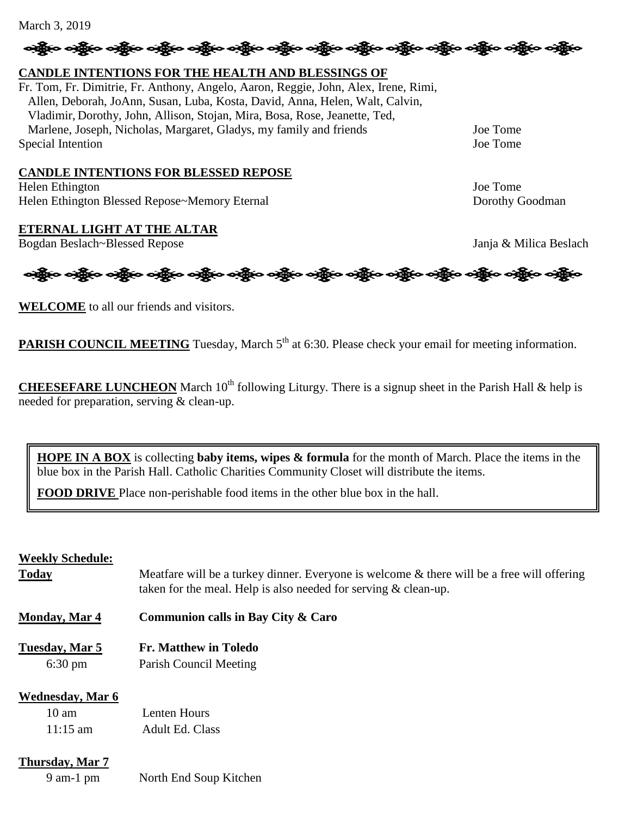#### March 3, 2019

# **CANDLE INTENTIONS FOR THE HEALTH AND BLESSINGS OF**

Fr. Tom, Fr. Dimitrie, Fr. Anthony, Angelo, Aaron, Reggie, John, Alex, Irene, Rimi, Allen, Deborah, JoAnn, Susan, Luba, Kosta, David, Anna, Helen, Walt, Calvin, Vladimir, Dorothy, John, Allison, Stojan, Mira, Bosa, Rose, Jeanette, Ted, Marlene, Joseph, Nicholas, Margaret, Gladys, my family and friends Joe Tome Special Intention Joe Tome

#### **CANDLE INTENTIONS FOR BLESSED REPOSE**

Helen Ethington Joe Tome Helen Ethington Blessed Repose~Memory Eternal New York Coolerand Dorothy Goodman

### **ETERNAL LIGHT AT THE ALTAR**

**WELCOME** to all our friends and visitors.

Bogdan Beslach~Blessed Repose Janja & Milica Beslach

**PARISH COUNCIL MEETING** Tuesday, March 5<sup>th</sup> at 6:30. Please check your email for meeting information.

န္း မွန္ပိုင္း သန္တိုင္း သန္တိုင္း သန္တိုင္း သန္တိုင္း သန္တိုင္း သန္တိုင္း သန္တိုင္း သန္တိုင္း သန္တိုင္း သန္တိ

ခရွို့လ ခရွို့လ ခရွို့လ ခရွို့လ ခရွို့လ ခရွို့လ ခရွို့လ ခရွို့လ ခရွို့လ ခရွို့လ ခရွို့လ ခရွို့လ ခရွို့လ ခရွို့လ

**CHEESEFARE LUNCHEON** March  $10^{th}$  following Liturgy. There is a signup sheet in the Parish Hall & help is needed for preparation, serving & clean-up.

**HOPE IN A BOX** is collecting **baby items, wipes & formula** for the month of March. Place the items in the blue box in the Parish Hall. Catholic Charities Community Closet will distribute the items.

**FOOD DRIVE** Place non-perishable food items in the other blue box in the hall.

#### **Weekly Schedule:**

| <b>Today</b>                               | Meatfare will be a turkey dinner. Everyone is welcome & there will be a free will offering<br>taken for the meal. Help is also needed for serving $&$ clean-up. |
|--------------------------------------------|-----------------------------------------------------------------------------------------------------------------------------------------------------------------|
| <b>Monday, Mar 4</b>                       | Communion calls in Bay City & Caro                                                                                                                              |
| Tuesday, Mar 5<br>$6:30 \text{ pm}$        | <b>Fr. Matthew in Toledo</b><br>Parish Council Meeting                                                                                                          |
| <b>Wednesday, Mar 6</b><br>$10 \text{ am}$ | Lenten Hours                                                                                                                                                    |
| $11:15 \text{ am}$<br>Thursday, Mar 7      | <b>Adult Ed. Class</b>                                                                                                                                          |